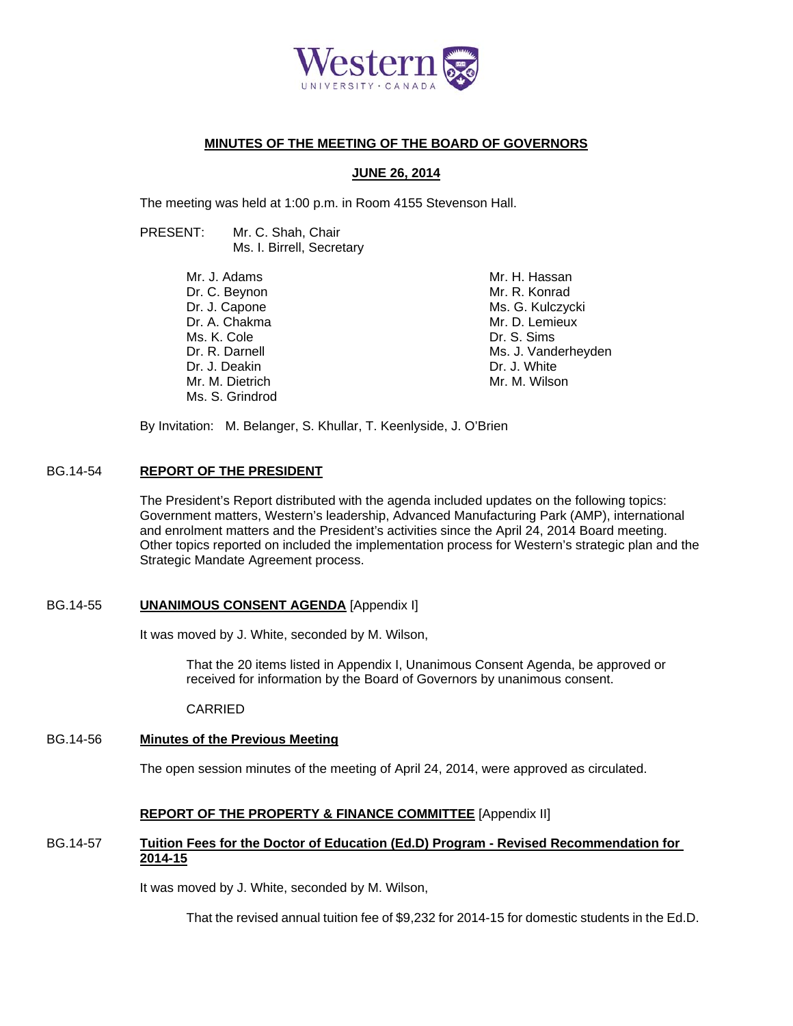

# **MINUTES OF THE MEETING OF THE BOARD OF GOVERNORS**

## **JUNE 26, 2014**

The meeting was held at 1:00 p.m. in Room 4155 Stevenson Hall.

PRESENT: Mr. C. Shah, Chair Ms. I. Birrell, Secretary

> Mr. J. Adams Dr. C. Beynon Dr. J. Capone Dr. A. Chakma Ms. K. Cole Dr. R. Darnell Dr. J. Deakin Mr. M. Dietrich Ms. S. Grindrod

Mr. H. Hassan Mr. R. Konrad Ms. G. Kulczycki Mr. D. Lemieux Dr. S. Sims Ms. J. Vanderheyden Dr. J. White Mr. M. Wilson

By Invitation: M. Belanger, S. Khullar, T. Keenlyside, J. O'Brien

# BG.14-54 **REPORT OF THE PRESIDENT**

The President's Report distributed with the agenda included updates on the following topics: Government matters, Western's leadership, Advanced Manufacturing Park (AMP), international and enrolment matters and the President's activities since the April 24, 2014 Board meeting. Other topics reported on included the implementation process for Western's strategic plan and the Strategic Mandate Agreement process.

### BG.14-55 **UNANIMOUS CONSENT AGENDA** [Appendix I]

It was moved by J. White, seconded by M. Wilson,

 That the 20 items listed in Appendix I, Unanimous Consent Agenda, be approved or received for information by the Board of Governors by unanimous consent.

CARRIED

# BG.14-56 **Minutes of the Previous Meeting**

The open session minutes of the meeting of April 24, 2014, were approved as circulated.

# **REPORT OF THE PROPERTY & FINANCE COMMITTEE** [Appendix II]

## BG.14-57 **Tuition Fees for the Doctor of Education (Ed.D) Program - Revised Recommendation for 2014-15**

It was moved by J. White, seconded by M. Wilson,

That the revised annual tuition fee of \$9,232 for 2014-15 for domestic students in the Ed.D.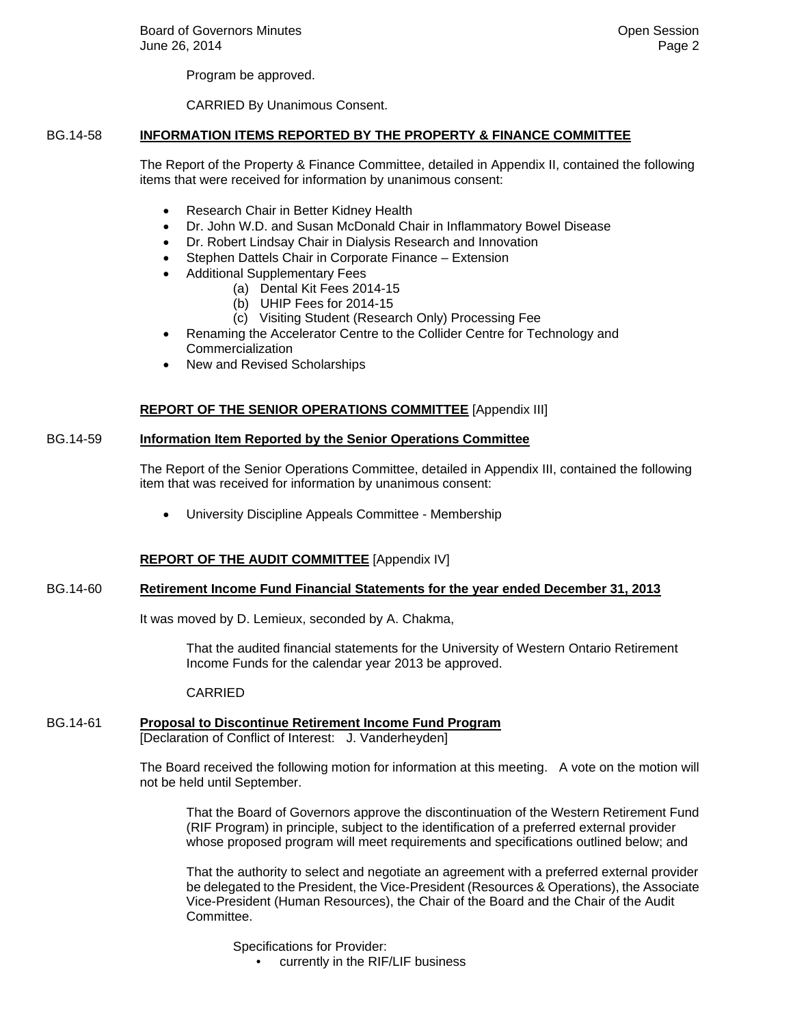Program be approved.

CARRIED By Unanimous Consent.

## BG.14-58 **INFORMATION ITEMS REPORTED BY THE PROPERTY & FINANCE COMMITTEE**

The Report of the Property & Finance Committee, detailed in Appendix II, contained the following items that were received for information by unanimous consent:

- Research Chair in Better Kidney Health
- Dr. John W.D. and Susan McDonald Chair in Inflammatory Bowel Disease
- Dr. Robert Lindsay Chair in Dialysis Research and Innovation
- Stephen Dattels Chair in Corporate Finance Extension
- Additional Supplementary Fees
	- (a) Dental Kit Fees 2014-15
	- (b) UHIP Fees for 2014-15
	- (c) Visiting Student (Research Only) Processing Fee
- Renaming the Accelerator Centre to the Collider Centre for Technology and Commercialization
- New and Revised Scholarships

## **REPORT OF THE SENIOR OPERATIONS COMMITTEE** [Appendix III]

#### BG.14-59 **Information Item Reported by the Senior Operations Committee**

The Report of the Senior Operations Committee, detailed in Appendix III, contained the following item that was received for information by unanimous consent:

University Discipline Appeals Committee - Membership

### **REPORT OF THE AUDIT COMMITTEE** [Appendix IV]

### BG.14-60 **Retirement Income Fund Financial Statements for the year ended December 31, 2013**

It was moved by D. Lemieux, seconded by A. Chakma,

 That the audited financial statements for the University of Western Ontario Retirement Income Funds for the calendar year 2013 be approved.

CARRIED

# BG.14-61 **Proposal to Discontinue Retirement Income Fund Program**

[Declaration of Conflict of Interest: J. Vanderheyden]

The Board received the following motion for information at this meeting. A vote on the motion will not be held until September.

That the Board of Governors approve the discontinuation of the Western Retirement Fund (RIF Program) in principle, subject to the identification of a preferred external provider whose proposed program will meet requirements and specifications outlined below; and

That the authority to select and negotiate an agreement with a preferred external provider be delegated to the President, the Vice-President (Resources & Operations), the Associate Vice-President (Human Resources), the Chair of the Board and the Chair of the Audit Committee.

Specifications for Provider:

• currently in the RIF/LIF business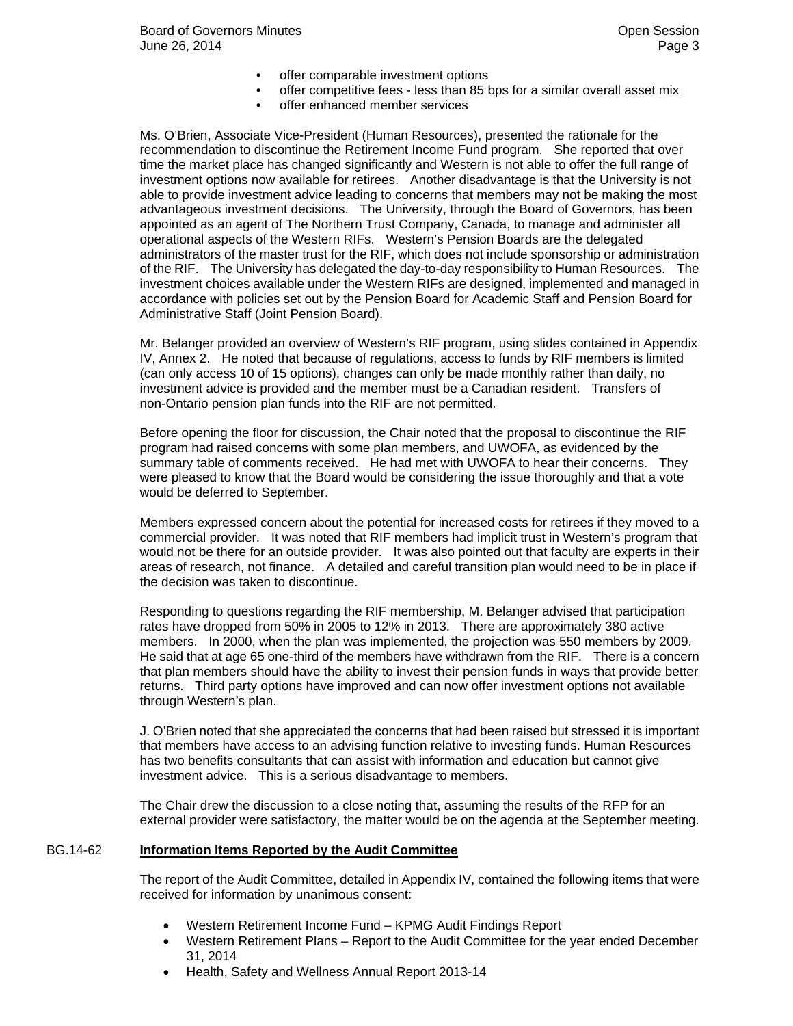- offer comparable investment options
- offer competitive fees less than 85 bps for a similar overall asset mix
- offer enhanced member services

Ms. O'Brien, Associate Vice-President (Human Resources), presented the rationale for the recommendation to discontinue the Retirement Income Fund program. She reported that over time the market place has changed significantly and Western is not able to offer the full range of investment options now available for retirees. Another disadvantage is that the University is not able to provide investment advice leading to concerns that members may not be making the most advantageous investment decisions. The University, through the Board of Governors, has been appointed as an agent of The Northern Trust Company, Canada, to manage and administer all operational aspects of the Western RIFs. Western's Pension Boards are the delegated administrators of the master trust for the RIF, which does not include sponsorship or administration of the RIF. The University has delegated the day-to-day responsibility to Human Resources. The investment choices available under the Western RIFs are designed, implemented and managed in accordance with policies set out by the Pension Board for Academic Staff and Pension Board for Administrative Staff (Joint Pension Board).

Mr. Belanger provided an overview of Western's RIF program, using slides contained in Appendix IV, Annex 2. He noted that because of regulations, access to funds by RIF members is limited (can only access 10 of 15 options), changes can only be made monthly rather than daily, no investment advice is provided and the member must be a Canadian resident. Transfers of non-Ontario pension plan funds into the RIF are not permitted.

Before opening the floor for discussion, the Chair noted that the proposal to discontinue the RIF program had raised concerns with some plan members, and UWOFA, as evidenced by the summary table of comments received. He had met with UWOFA to hear their concerns. They were pleased to know that the Board would be considering the issue thoroughly and that a vote would be deferred to September.

Members expressed concern about the potential for increased costs for retirees if they moved to a commercial provider. It was noted that RIF members had implicit trust in Western's program that would not be there for an outside provider. It was also pointed out that faculty are experts in their areas of research, not finance. A detailed and careful transition plan would need to be in place if the decision was taken to discontinue.

Responding to questions regarding the RIF membership, M. Belanger advised that participation rates have dropped from 50% in 2005 to 12% in 2013. There are approximately 380 active members. In 2000, when the plan was implemented, the projection was 550 members by 2009. He said that at age 65 one-third of the members have withdrawn from the RIF. There is a concern that plan members should have the ability to invest their pension funds in ways that provide better returns. Third party options have improved and can now offer investment options not available through Western's plan.

J. O'Brien noted that she appreciated the concerns that had been raised but stressed it is important that members have access to an advising function relative to investing funds. Human Resources has two benefits consultants that can assist with information and education but cannot give investment advice. This is a serious disadvantage to members.

The Chair drew the discussion to a close noting that, assuming the results of the RFP for an external provider were satisfactory, the matter would be on the agenda at the September meeting.

### BG.14-62 **Information Items Reported by the Audit Committee**

The report of the Audit Committee, detailed in Appendix IV, contained the following items that were received for information by unanimous consent:

- Western Retirement Income Fund KPMG Audit Findings Report
- Western Retirement Plans Report to the Audit Committee for the year ended December 31, 2014
- Health, Safety and Wellness Annual Report 2013-14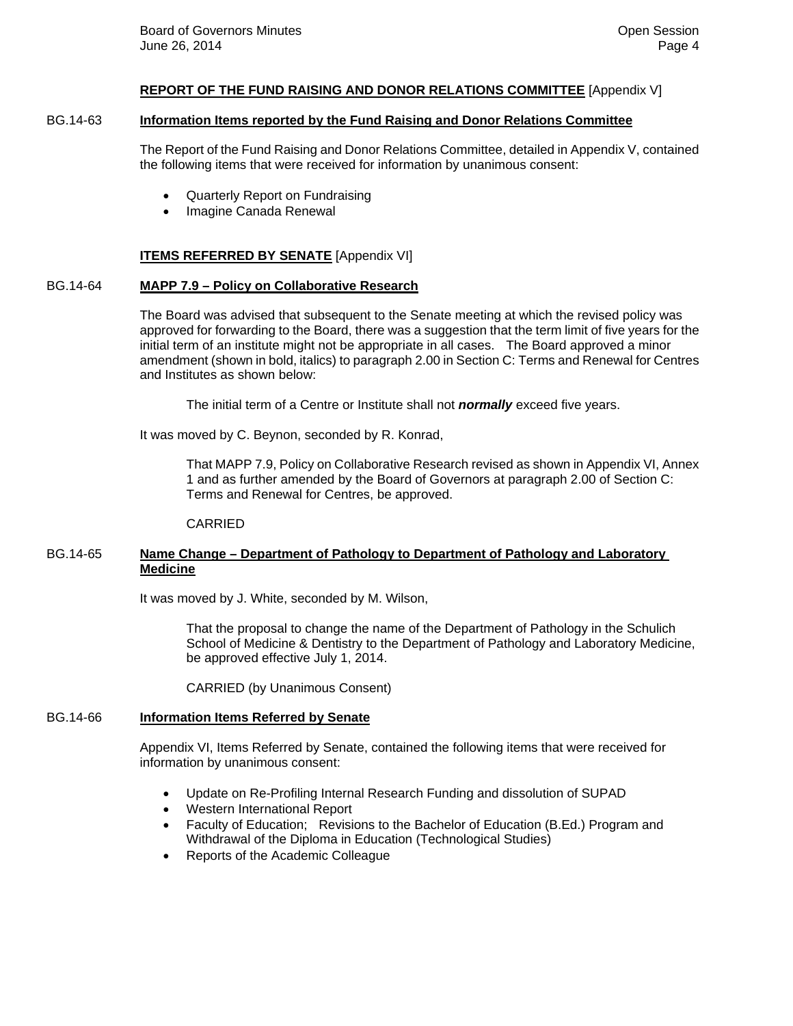#### **REPORT OF THE FUND RAISING AND DONOR RELATIONS COMMITTEE** [Appendix V]

#### BG.14-63 **Information Items reported by the Fund Raising and Donor Relations Committee**

The Report of the Fund Raising and Donor Relations Committee, detailed in Appendix V, contained the following items that were received for information by unanimous consent:

- Quarterly Report on Fundraising
- Imagine Canada Renewal

#### **ITEMS REFERRED BY SENATE** [Appendix VI]

## BG.14-64 **MAPP 7.9 – Policy on Collaborative Research**

The Board was advised that subsequent to the Senate meeting at which the revised policy was approved for forwarding to the Board, there was a suggestion that the term limit of five years for the initial term of an institute might not be appropriate in all cases. The Board approved a minor amendment (shown in bold, italics) to paragraph 2.00 in Section C: Terms and Renewal for Centres and Institutes as shown below:

The initial term of a Centre or Institute shall not *normally* exceed five years.

It was moved by C. Beynon, seconded by R. Konrad,

That MAPP 7.9, Policy on Collaborative Research revised as shown in Appendix VI, Annex 1 and as further amended by the Board of Governors at paragraph 2.00 of Section C: Terms and Renewal for Centres, be approved.

#### CARRIED

#### BG.14-65 **Name Change – Department of Pathology to Department of Pathology and Laboratory Medicine**

It was moved by J. White, seconded by M. Wilson,

That the proposal to change the name of the Department of Pathology in the Schulich School of Medicine & Dentistry to the Department of Pathology and Laboratory Medicine, be approved effective July 1, 2014.

CARRIED (by Unanimous Consent)

#### BG.14-66 **Information Items Referred by Senate**

Appendix VI, Items Referred by Senate, contained the following items that were received for information by unanimous consent:

- Update on Re-Profiling Internal Research Funding and dissolution of SUPAD
- Western International Report
- Faculty of Education; Revisions to the Bachelor of Education (B.Ed.) Program and Withdrawal of the Diploma in Education (Technological Studies)
- Reports of the Academic Colleague